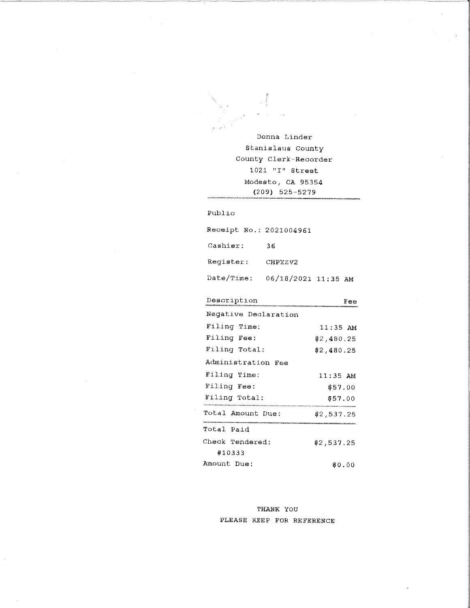Donna Linder Stanislaus County County Clerk-Recorder  $1021$  "I" Street Modesto, CA 95354  $(209)$  525-5279

### Public

Receipt No.: 2021004961 Cashier: 36 Register: CHPXZV2 Date/Time: 06/18/2021 11:35 AM

| Description          | Тее        |
|----------------------|------------|
| Negative Declaration |            |
| Filing Time:         | $11:35$ AM |
| Filing Fee:          | \$2,480.25 |
| Filing Total:        | 82,480.25  |
| Administration Fee   |            |
| Filing Time:         | $11:35$ AM |
| Filing Fee:          | \$57.00    |
| Filing Total:        | \$57.00    |
| Total Amount Due:    | \$2,537.25 |
| Total Paid           |            |
| Check Tendered:      | \$2,537.25 |
| #10333               |            |
| Amount Due:          | \$0.00     |

THANK YOU PLEASE KEEP FOR REFERENCE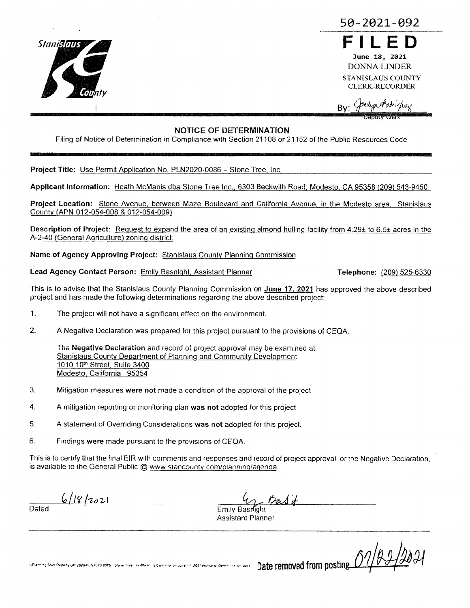

50-2021-092

June 18, 2021 **DONNA LINDER** STANISLAUS COUNTY

**CLERK-RECORDER** 

**Bv** 

# **NOTICE OF DETERMINATION**

Filing of Notice of Determination in Compliance with Section 21108 or 21152 of the Public Resources Code

Project Title: Use Permit Application No. PLN2020-0086 - Stone Tree, Inc.

Applicant Information: Heath McManis dba Stone Tree Inc., 6303 Beckwith Road, Modesto, CA 95358 (209) 543-9450

Project Location: Stone Avenue, between Maze Boulevard and California Avenue, in the Modesto area. Stanislaus County (APN 012-054-008 & 012-054-009)

Description of Project: Request to expand the area of an existing almond hulling facility from 4.29± to 6.5± acres in the A-2-40 (General Agriculture) zoning district.

Name of Agency Approving Project: Stanislaus County Planning Commission

Lead Agency Contact Person: Emily Basnight, Assistant Planner

Telephone: (209) 525-6330

This is to advise that the Stanislaus County Planning Commission on June 17, 2021 has approved the above described project and has made the following determinations regarding the above described project:

- 1. The project will not have a significant effect on the environment.
- 2. A Negative Declaration was prepared for this project pursuant to the provisions of CEQA.

The Negative Declaration and record of project approval may be examined at: Stanislaus County Department of Planning and Community Development 1010 10<sup>th</sup> Street, Suite 3400 Modesto, California 95354

- Mitigation measures were not made a condition of the approval of the project 3.
- 4. A mitigation reporting or monitoring plan was not adopted for this project
- 5. A statement of Overnding Considerations was not adopted for this project.
- 6. Findings were made pursuant to the provisions of CEQA.

This is to certify that the final EIR with comments and responses and record of project approval, or the Negative Declaration, is available to the General Public @ www stancounty com/planning/agenda

 $6118/2021$ 

Dated

Emily Basmoht **Assistant Planner** 

01/22/2021 Particulation Production 2020 Pt N020 00th. Suite for the includer in Communion and Communion of the Date removed from posting...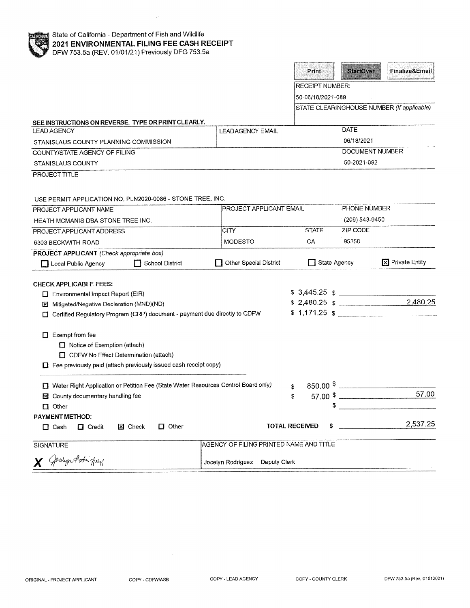| 2021 ENVIRONMENTAL FILING FEE CASH RECEIPT<br>DFW 753.5a (REV. 01/01/21) Previously DFG 753.5a |                                         |                        |                                                     |  |
|------------------------------------------------------------------------------------------------|-----------------------------------------|------------------------|-----------------------------------------------------|--|
|                                                                                                |                                         | Print                  | Finalize&Email<br>Startover                         |  |
|                                                                                                |                                         | <b>RECEIPT NUMBER:</b> |                                                     |  |
|                                                                                                |                                         | 50-06/18/2021-089      |                                                     |  |
|                                                                                                |                                         |                        | STATE CLEARINGHOUSE NUMBER (If applicable)          |  |
| SEE INSTRUCTIONS ON REVERSE. TYPE OR PRINT CLEARLY.                                            |                                         |                        |                                                     |  |
| <b>LEAD AGENCY</b>                                                                             | <b>LEADAGENCY EMAIL</b>                 |                        | DATE                                                |  |
| STANISLAUS COUNTY PLANNING COMMISSION                                                          |                                         |                        | 06/18/2021                                          |  |
| COUNTY/STATE AGENCY OF FILING                                                                  |                                         |                        | <b>DOCUMENT NUMBER</b>                              |  |
| <b>STANISLAUS COUNTY</b>                                                                       |                                         |                        | 50-2021-092                                         |  |
| PROJECT TITLE                                                                                  |                                         |                        |                                                     |  |
| USE PERMIT APPLICATION NO. PLN2020-0086 - STONE TREE, INC.                                     |                                         |                        |                                                     |  |
| PROJECT APPLICANT NAME                                                                         | PROJECT APPLICANT EMAIL                 |                        | PHONE NUMBER                                        |  |
| HEATH MCMANIS DBA STONE TREE INC.                                                              |                                         |                        | (209) 543-9450                                      |  |
| PROJECT APPLICANT ADDRESS                                                                      | <b>CITY</b>                             | <b>STATE</b>           | ZIP CODE                                            |  |
| 6303 BECKWITH ROAD                                                                             | <b>MODESTO</b>                          | СA                     | 95358                                               |  |
| PROJECT APPLICANT (Check appropriate box)                                                      |                                         |                        |                                                     |  |
| School District<br>Local Public Agency                                                         | <b>Other Special District</b>           | State Agency           | $\mathbf{\nabla}$ Private Entity                    |  |
|                                                                                                |                                         |                        |                                                     |  |
| <b>CHECK APPLICABLE FEES:</b>                                                                  |                                         |                        |                                                     |  |
| $\Box$ Environmental Impact Report (EIR)                                                       |                                         |                        | $$3,445.25$ $$$                                     |  |
| Mitigated/Negative Declaration (MND)(ND)<br>ĿЧ                                                 |                                         |                        | $$2,480.25$ $$$<br>2,480.25                         |  |
| Certified Regulatory Program (CRP) document - payment due directly to CDFW                     |                                         |                        | $$1,171.25$ $$$                                     |  |
| $\Box$ Exempt from fee                                                                         |                                         |                        |                                                     |  |
| $\Box$ Notice of Exemption (attach)                                                            |                                         |                        |                                                     |  |
| CDFW No Effect Determination (attach)                                                          |                                         |                        |                                                     |  |
| □ Fee previously paid (attach previously issued cash receipt copy)                             |                                         |                        |                                                     |  |
| □ Water Right Application or Petition Fee (State Water Resources Control Board only)           |                                         |                        | $\frac{1}{2}$ 850.00 $\frac{1}{2}$                  |  |
| <b>El</b> County documentary handling fee                                                      |                                         | \$                     | 57.00<br>$57.00 \text{ }$ $\frac{\text{}}{\text{}}$ |  |
| $\Box$ Other                                                                                   |                                         | \$                     |                                                     |  |
| <b>PAYMENT METHOD:</b>                                                                         |                                         |                        |                                                     |  |
| $\Box$ Other<br><b>X</b> Check<br>$\Box$ Cash<br>$\Box$ Credit                                 | <b>TOTAL RECEIVED</b>                   | s                      | 2,537.25                                            |  |
| <b>SIGNATURE</b>                                                                               | AGENCY OF FILING PRINTED NAME AND TITLE |                        |                                                     |  |

X Gentyn Arthighey

Jocelyn Rodriguez Deputy Clerk

State of California - Department of Fish and Wildlife

 $\sim$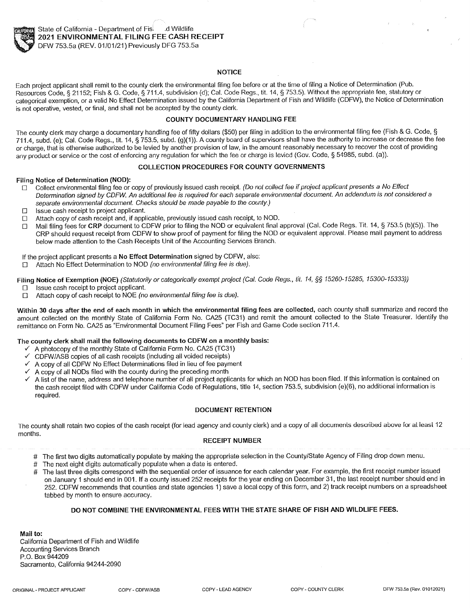

## **NOTICE**

Each project applicant shall remit to the county clerk the environmental filing fee before or at the time of filing a Notice of Determination (Pub. Resources Code, § 21152; Fish & G. Code, § 711.4, subdivision (d); Cal. Code Regs., tit. 14, § 753.5). Without the appropriate fee, statutory or categorical exemption, or a valid No Effect Determination issued by the California Department of Fish and Wildlife (CDFW), the Notice of Determination is not operative, vested, or final, and shall not be accepted by the county clerk.

### **COUNTY DOCUMENTARY HANDLING FEE**

The county clerk may charge a documentary handling fee of fifty dollars (\$50) per filing in addition to the environmental filing fee (Fish & G. Code, § 711.4, subd. (e); Cal. Code Regs., tit. 14, § 753.5, subd. (g)(1)). A county board of supervisors shall have the authority to increase or decrease the fee or charge, that is otherwise authorized to be levied by another provision of law, in the amount reasonably necessary to recover the cost of providing any product or service or the cost of enforcing any regulation for which the fee or charge is levied (Gov. Code, § 54985, subd. (a)).

### **COLLECTION PROCEDURES FOR COUNTY GOVERNMENTS**

#### Filing Notice of Determination (NOD):

- Collect environmental filing fee or copy of previously issued cash receipt. (Do not collect fee if project applicant presents a No Effect  $\Box$ Determination signed by CDFW. An additional fee is required for each separate environmental document. An addendum is not considered a separate environmental document. Checks should be made payable to the county.)
- Issue cash receipt to project applicant.  $\Gamma$
- Attach copy of cash receipt and, if applicable, previously issued cash receipt, to NOD.  $\Box$
- Mail filing fees for CRP document to CDFW prior to filing the NOD or equivalent final approval (Cal. Code Regs. Tit. 14, § 753.5 (b)(5)). The  $\Box$ CRP should request receipt from CDFW to show proof of payment for filing the NOD or equivalent approval. Please mail payment to address below made attention to the Cash Receipts Unit of the Accounting Services Branch.

## If the project applicant presents a No Effect Determination signed by CDFW, also:

Attach No Effect Determination to NOD (no environmental filing fee is due).  $\Box$ 

Filing Notice of Exemption (NOE) (Statutorily or categorically exempt project (Cal. Code Regs., tit. 14, §§ 15260-15285, 15300-15333))

- Issue cash receipt to project applicant.  $\Box$
- Attach copy of cash receipt to NOE (no environmental filing fee is due).  $\Gamma$

Within 30 days after the end of each month in which the environmental filing fees are collected, each county shall summarize and record the amount collected on the monthly State of California Form No. CA25 (TC31) and remit the amount collected to the State Treasurer. Identify the remittance on Form No. CA25 as "Environmental Document Filing Fees" per Fish and Game Code section 711.4.

# The county clerk shall mail the following documents to CDFW on a monthly basis:

- $\checkmark$  A photocopy of the monthly State of California Form No. CA25 (TC31)
- CDFW/ASB copies of all cash receipts (including all voided receipts)
- A copy of all CDFW No Effect Determinations filed in lieu of fee payment ✓
- A copy of all NODs filed with the county during the preceding month
- A list of the name, address and telephone number of all project applicants for which an NOD has been filed. If this information is contained on the cash receipt filed with CDFW under California Code of Regulations, title 14, section 753.5, subdivision (e)(6), no additional information is required.

### **DOCUMENT RETENTION**

The county shall retain two copies of the cash receipt (for lead agency and county clerk) and a copy of all documents described above for at least 12 months.

#### **RECEIPT NUMBER**

- # The first two digits automatically populate by making the appropriate selection in the County/State Agency of Filing drop down menu.
- The next eight digits automatically populate when a date is entered.  $#$
- The last three digits correspond with the sequential order of issuance for each calendar year. For example, the first receipt number issued on January 1 should end in 001. If a county issued 252 receipts for the year ending on December 31, the last receipt number should end in 252. CDFW recommends that counties and state agencies 1) save a local copy of this form, and 2) track receipt numbers on a spreadsheet tabbed by month to ensure accuracy.

### DO NOT COMBINE THE ENVIRONMENTAL FEES WITH THE STATE SHARE OF FISH AND WILDLIFE FEES.

Mail to: California Department of Fish and Wildlife **Accounting Services Branch** P.O. Box 944209 Sacramento, California 94244-2090